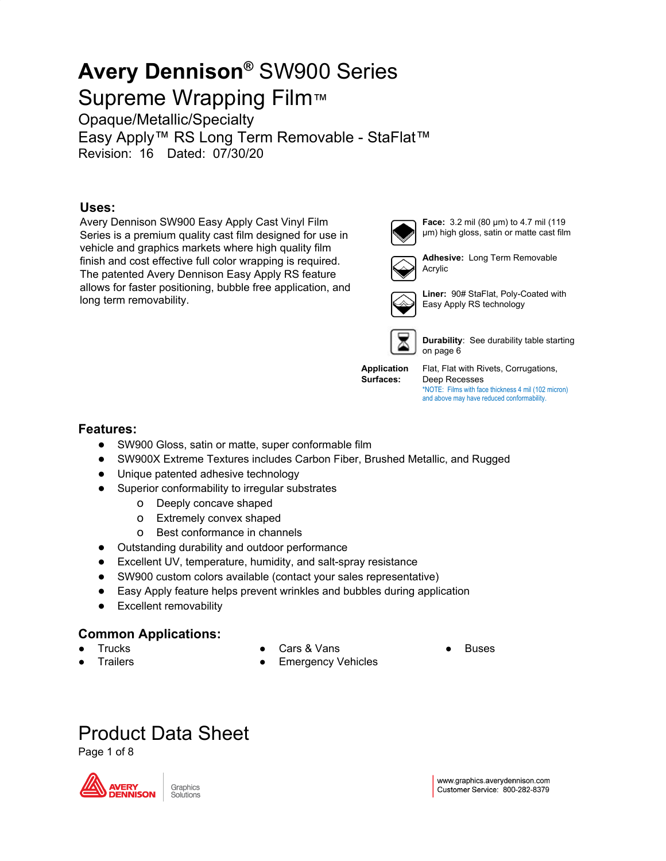Supreme Wrapping Film™ Opaque/Metallic/Specialty

Easy Apply™ RS Long Term Removable - StaFlat™ Revision: 16 Dated: 07/30/20

#### **Uses:**

Avery Dennison SW900 Easy Apply Cast Vinyl Film Series is a premium quality cast film designed for use in vehicle and graphics markets where high quality film finish and cost effective full color wrapping is required. The patented Avery Dennison Easy Apply RS feature allows for faster positioning, bubble free application, and long term removability.



**Face:** 3.2 mil (80 µm) to 4.7 mil (119 µm) high gloss, satin or matte cast film



**Adhesive:** Long Term Removable Acrylic



**Liner:** 90# StaFlat, Poly-Coated with Easy Apply RS technology



**Durability**: See durability table starting on page 6

**Application Surfaces:**

Deep Recesses \*NOTE: Films with face thickness 4 mil (102 micron) and above may have reduced conformability.

Flat, Flat with Rivets, Corrugations,

#### **Features:**

- SW900 Gloss, satin or matte, super conformable film
- SW900X Extreme Textures includes Carbon Fiber, Brushed Metallic, and Rugged
- Unique patented adhesive technology
- Superior conformability to irregular substrates
	- o Deeply concave shaped
	- o Extremely convex shaped
	- o Best conformance in channels
- Outstanding durability and outdoor performance
- Excellent UV, temperature, humidity, and salt-spray resistance
- SW900 custom colors available (contact your sales representative)
- Easy Apply feature helps prevent wrinkles and bubbles during application
- Excellent removability

#### **Common Applications:**

**Trucks** 

Cars & Vans

**Trailers** 

- 
- Emergency Vehicles

### Product Data Sheet

Page 1 of 8



Graphics Solutions **Buses**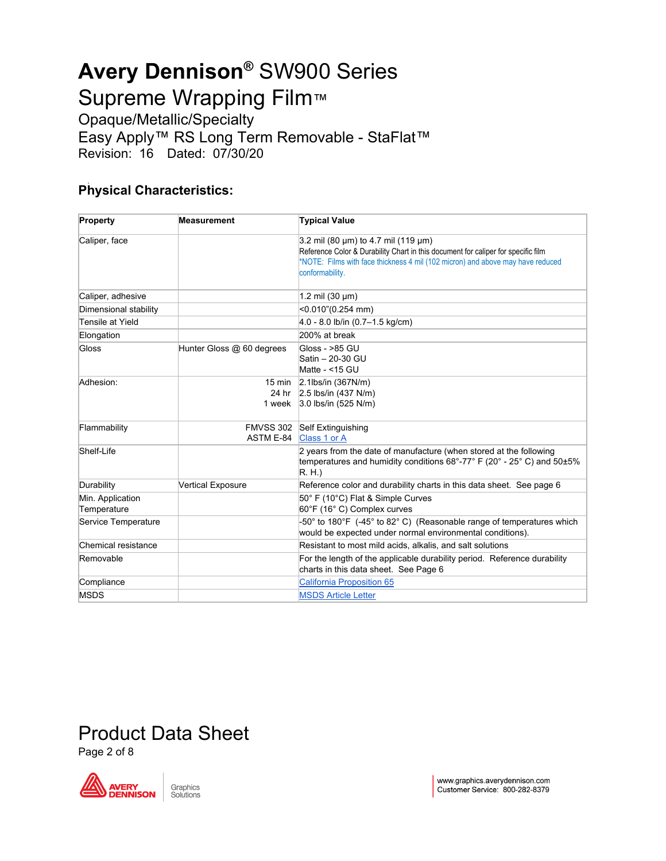Opaque/Metallic/Specialty Easy Apply™ RS Long Term Removable - StaFlat™ Revision: 16 Dated: 07/30/20

#### **Physical Characteristics:**

| Property                        | <b>Measurement</b>        | <b>Typical Value</b>                                                                                                                                                                                                         |  |  |  |
|---------------------------------|---------------------------|------------------------------------------------------------------------------------------------------------------------------------------------------------------------------------------------------------------------------|--|--|--|
| Caliper, face                   |                           | 3.2 mil (80 µm) to 4.7 mil (119 µm)<br>Reference Color & Durability Chart in this document for caliper for specific film<br>NOTE: Films with face thickness 4 mil (102 micron) and above may have reduced<br>conformability. |  |  |  |
| Caliper, adhesive               |                           | 1.2 mil $(30 \mu m)$                                                                                                                                                                                                         |  |  |  |
| Dimensional stability           |                           | <0.010"(0.254 mm)                                                                                                                                                                                                            |  |  |  |
| Tensile at Yield                |                           | $4.0 - 8.0$ lb/in $(0.7 - 1.5$ kg/cm)                                                                                                                                                                                        |  |  |  |
| Elongation                      |                           | 200% at break                                                                                                                                                                                                                |  |  |  |
| Gloss                           | Hunter Gloss @ 60 degrees | Gloss - >85 GU<br>Satin - 20-30 GU<br>Matte - <15 GU                                                                                                                                                                         |  |  |  |
| Adhesion:                       | 15 min<br>1 week          | $2.1$ lbs/in (367N/m)<br>24 hr 2.5 lbs/in (437 N/m)<br>$3.0$ lbs/in (525 N/m)                                                                                                                                                |  |  |  |
| Flammability                    | FMVSS 302<br>ASTM E-84    | Self Extinguishing<br>Class 1 or A                                                                                                                                                                                           |  |  |  |
| Shelf-Life                      |                           | 2 years from the date of manufacture (when stored at the following<br>temperatures and humidity conditions 68°-77° F (20° - 25° C) and 50±5%<br>R.H.                                                                         |  |  |  |
| Durability                      | <b>Vertical Exposure</b>  | Reference color and durability charts in this data sheet. See page 6                                                                                                                                                         |  |  |  |
| Min. Application<br>Temperature |                           | 50° F (10°C) Flat & Simple Curves<br>60°F (16° C) Complex curves                                                                                                                                                             |  |  |  |
| Service Temperature             |                           | -50° to 180°F (-45° to 82° C) (Reasonable range of temperatures which<br>would be expected under normal environmental conditions).                                                                                           |  |  |  |
| Chemical resistance             |                           | Resistant to most mild acids, alkalis, and salt solutions                                                                                                                                                                    |  |  |  |
| Removable                       |                           | For the length of the applicable durability period. Reference durability<br>charts in this data sheet. See Page 6                                                                                                            |  |  |  |
| Compliance                      |                           | <b>California Proposition 65</b>                                                                                                                                                                                             |  |  |  |
| <b>MSDS</b>                     |                           | <b>MSDS Article Letter</b>                                                                                                                                                                                                   |  |  |  |

# Product Data Sheet

Page 2 of 8

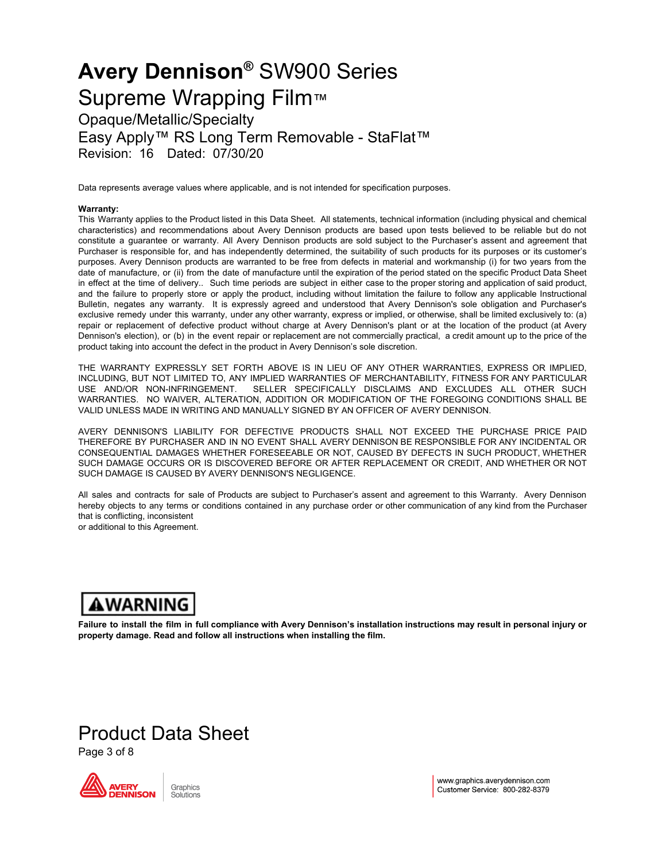Opaque/Metallic/Specialty Easy Apply™ RS Long Term Removable - StaFlat™

Revision: 16 Dated: 07/30/20

Data represents average values where applicable, and is not intended for specification purposes.

#### **Warranty:**

This Warranty applies to the Product listed in this Data Sheet. All statements, technical information (including physical and chemical characteristics) and recommendations about Avery Dennison products are based upon tests believed to be reliable but do not constitute a guarantee or warranty. All Avery Dennison products are sold subject to the Purchaser's assent and agreement that Purchaser is responsible for, and has independently determined, the suitability of such products for its purposes or its customer's purposes. Avery Dennison products are warranted to be free from defects in material and workmanship (i) for two years from the date of manufacture, or (ii) from the date of manufacture until the expiration of the period stated on the specific Product Data Sheet in effect at the time of delivery.. Such time periods are subject in either case to the proper storing and application of said product, and the failure to properly store or apply the product, including without limitation the failure to follow any applicable Instructional Bulletin, negates any warranty. It is expressly agreed and understood that Avery Dennison's sole obligation and Purchaser's exclusive remedy under this warranty, under any other warranty, express or implied, or otherwise, shall be limited exclusively to: (a) repair or replacement of defective product without charge at Avery Dennison's plant or at the location of the product (at Avery Dennison's election), or (b) in the event repair or replacement are not commercially practical, a credit amount up to the price of the product taking into account the defect in the product in Avery Dennison's sole discretion.

THE WARRANTY EXPRESSLY SET FORTH ABOVE IS IN LIEU OF ANY OTHER WARRANTIES, EXPRESS OR IMPLIED, INCLUDING, BUT NOT LIMITED TO, ANY IMPLIED WARRANTIES OF MERCHANTABILITY, FITNESS FOR ANY PARTICULAR USE AND/OR NON-INFRINGEMENT. SELLER SPECIFICALLY DISCLAIMS AND EXCLUDES ALL OTHER SUCH WARRANTIES. NO WAIVER, ALTERATION, ADDITION OR MODIFICATION OF THE FOREGOING CONDITIONS SHALL BE VALID UNLESS MADE IN WRITING AND MANUALLY SIGNED BY AN OFFICER OF AVERY DENNISON.

AVERY DENNISON'S LIABILITY FOR DEFECTIVE PRODUCTS SHALL NOT EXCEED THE PURCHASE PRICE PAID THEREFORE BY PURCHASER AND IN NO EVENT SHALL AVERY DENNISON BE RESPONSIBLE FOR ANY INCIDENTAL OR CONSEQUENTIAL DAMAGES WHETHER FORESEEABLE OR NOT, CAUSED BY DEFECTS IN SUCH PRODUCT, WHETHER SUCH DAMAGE OCCURS OR IS DISCOVERED BEFORE OR AFTER REPLACEMENT OR CREDIT, AND WHETHER OR NOT SUCH DAMAGE IS CAUSED BY AVERY DENNISON'S NEGLIGENCE.

All sales and contracts for sale of Products are subject to Purchaser's assent and agreement to this Warranty. Avery Dennison hereby objects to any terms or conditions contained in any purchase order or other communication of any kind from the Purchaser that is conflicting, inconsistent

or additional to this Agreement.

### **AWARNING**

Failure to install the film in full compliance with Avery Dennison's installation instructions may result in personal injury or **property damage. Read and follow all instructions when installing the film.**

### Product Data Sheet

Page 3 of 8



www.graphics.averydennison.com Customer Service: 800-282-8379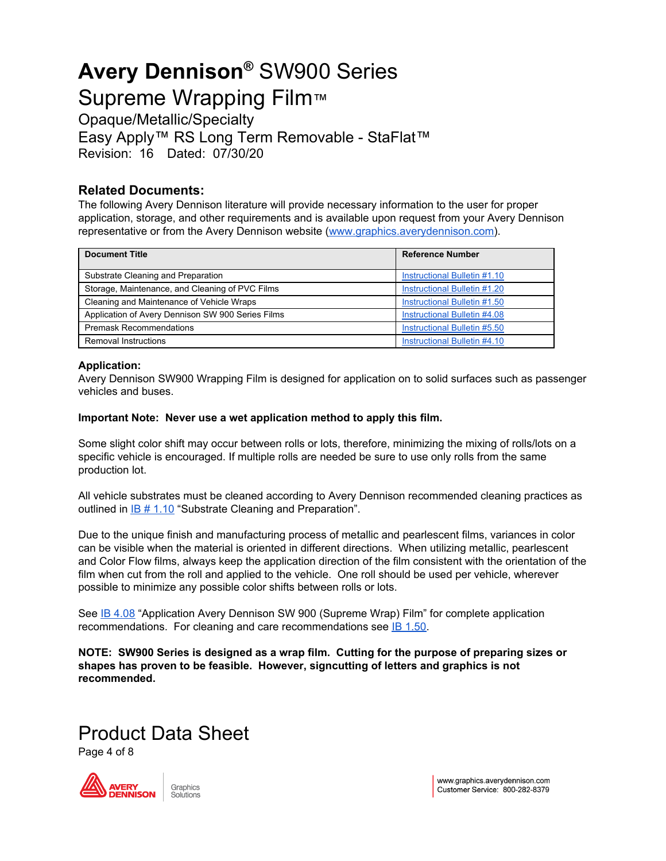Opaque/Metallic/Specialty Easy Apply™ RS Long Term Removable - StaFlat™ Revision: 16 Dated: 07/30/20

#### **Related Documents:**

The following Avery Dennison literature will provide necessary information to the user for proper application, storage, and other requirements and is available upon request from your Avery Dennison representative or from the Avery Dennison website [\(www.graphics.averydennison.com](http://www.graphics.averydennison.com/)).

| <b>Document Title</b>                             | <b>Reference Number</b>      |
|---------------------------------------------------|------------------------------|
| Substrate Cleaning and Preparation                | Instructional Bulletin #1.10 |
| Storage, Maintenance, and Cleaning of PVC Films   | Instructional Bulletin #1.20 |
| Cleaning and Maintenance of Vehicle Wraps         | Instructional Bulletin #1.50 |
| Application of Avery Dennison SW 900 Series Films | Instructional Bulletin #4.08 |
| <b>Premask Recommendations</b>                    | Instructional Bulletin #5.50 |
| Removal Instructions                              | Instructional Bulletin #4.10 |

#### **Application:**

Avery Dennison SW900 Wrapping Film is designed for application on to solid surfaces such as passenger vehicles and buses.

#### **Important Note: Never use a wet application method to apply this film.**

Some slight color shift may occur between rolls or lots, therefore, minimizing the mixing of rolls/lots on a specific vehicle is encouraged. If multiple rolls are needed be sure to use only rolls from the same production lot.

All vehicle substrates must be cleaned according to Avery Dennison recommended cleaning practices as outlined in IB # [1.10](https://graphics.averydennison.com/content/dam/averydennison/graphics/na/en/documents/Instructional-Bulletins/General-Information/ib120-storage-maintenance-cleaning-pvc-films.pdf) "Substrate Cleaning and Preparation".

Due to the unique finish and manufacturing process of metallic and pearlescent films, variances in color can be visible when the material is oriented in different directions. When utilizing metallic, pearlescent and Color Flow films, always keep the application direction of the film consistent with the orientation of the film when cut from the roll and applied to the vehicle. One roll should be used per vehicle, wherever possible to minimize any possible color shifts between rolls or lots.

See IB [4.08](https://graphics.averydennison.com/content/dam/averydennison/graphics/na/en/documents/Instructional-Bulletins/Application-and-Removal-Information/ib408-application-instructions-supreme-wrap-films.pdf) "Application Avery Dennison SW 900 (Supreme Wrap) Film" for complete application recommendations. For cleaning and care recommendations see **IB [1.50](https://graphics.averydennison.com/content/dam/averydennison/graphics/na/en/documents/Instructional-Bulletins/General-Information/ib150-cleaning-maintenance-vehicle-wraps.pdf)**.

**NOTE: SW900 Series is designed as a wrap film. Cutting for the purpose of preparing sizes or shapes has proven to be feasible. However, signcutting of letters and graphics is not recommended.**

### Product Data Sheet

Page 4 of 8

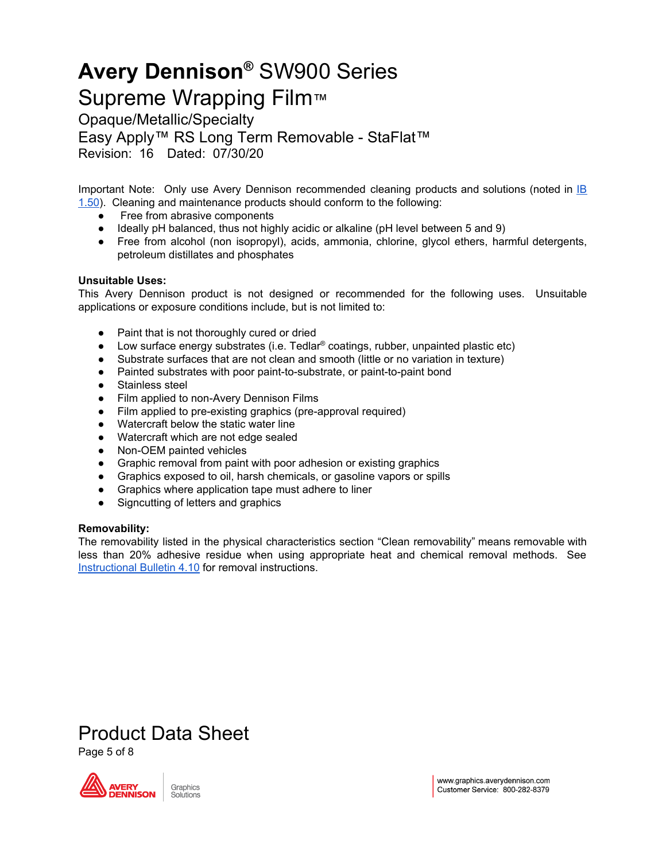Supreme Wrapping Film™

Opaque/Metallic/Specialty

Easy Apply™ RS Long Term Removable - StaFlat™

Revision: 16 Dated: 07/30/20

Important Note: Only use Avery Dennison recommended cleaning products and solutions (noted in [IB](https://graphics.averydennison.com/content/dam/averydennison/graphics/na/en/documents/Instructional-Bulletins/General-Information/ib150-cleaning-maintenance-vehicle-wraps.pdf) [1.50\)](https://graphics.averydennison.com/content/dam/averydennison/graphics/na/en/documents/Instructional-Bulletins/General-Information/ib150-cleaning-maintenance-vehicle-wraps.pdf). Cleaning and maintenance products should conform to the following:

- Free from abrasive components
- Ideally pH balanced, thus not highly acidic or alkaline (pH level between 5 and 9)
- Free from alcohol (non isopropyl), acids, ammonia, chlorine, glycol ethers, harmful detergents, petroleum distillates and phosphates

#### **Unsuitable Uses:**

This Avery Dennison product is not designed or recommended for the following uses. Unsuitable applications or exposure conditions include, but is not limited to:

- Paint that is not thoroughly cured or dried
- $\bullet$  Low surface energy substrates (i.e. Tedlar<sup>®</sup> coatings, rubber, unpainted plastic etc)
- Substrate surfaces that are not clean and smooth (little or no variation in texture)
- Painted substrates with poor paint-to-substrate, or paint-to-paint bond
- Stainless steel
- Film applied to non-Avery Dennison Films
- Film applied to pre-existing graphics (pre-approval required)
- Watercraft below the static water line
- Watercraft which are not edge sealed
- Non-OEM painted vehicles
- Graphic removal from paint with poor adhesion or existing graphics
- Graphics exposed to oil, harsh chemicals, or gasoline vapors or spills
- Graphics where application tape must adhere to liner
- Signcutting of letters and graphics

#### **Removability:**

The removability listed in the physical characteristics section "Clean removability" means removable with less than 20% adhesive residue when using appropriate heat and chemical removal methods. See [Instructional](https://graphics.averydennison.com/content/dam/averydennison/graphics/na/en/documents/Instructional-Bulletins/Application-and-Removal-Information/ib410-removal-films.pdf) Bulletin 4.10 for removal instructions.

### Product Data Sheet

Page 5 of 8

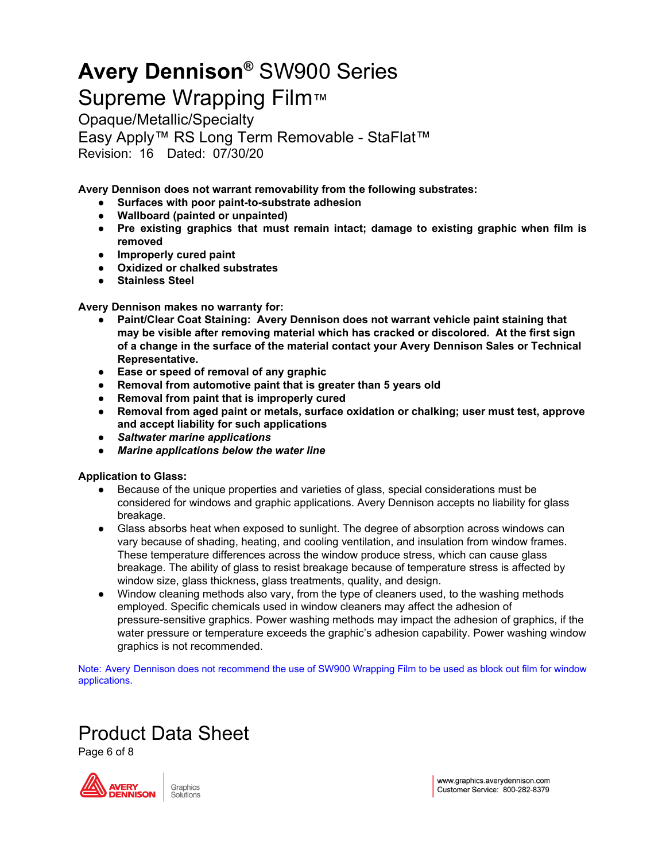Supreme Wrapping Film™

Opaque/Metallic/Specialty Easy Apply™ RS Long Term Removable - StaFlat™ Revision: 16 Dated: 07/30/20

**Avery Dennison does not warrant removability from the following substrates:**

- **Surfaces with poor paint-to-substrate adhesion**
- **Wallboard (painted or unpainted)**
- **Pre existing graphics that must remain intact; damage to existing graphic when film is removed**
- **Improperly cured paint**
- **Oxidized or chalked substrates**
- **Stainless Steel**

#### **Avery Dennison makes no warranty for:**

- **Paint/Clear Coat Staining: Avery Dennison does not warrant vehicle paint staining that may be visible after removing material which has cracked or discolored. At the first sign of a change in the surface of the material contact your Avery Dennison Sales or Technical Representative.**
- **Ease or speed of removal of any graphic**
- **Removal from automotive paint that is greater than 5 years old**
- **Removal from paint that is improperly cured**
- **Removal from aged paint or metals, surface oxidation or chalking; user must test, approve and accept liability for such applications**
- *● Saltwater marine applications*
- *● Marine applications below the water line*

#### **Application to Glass:**

- Because of the unique properties and varieties of glass, special considerations must be considered for windows and graphic applications. Avery Dennison accepts no liability for glass breakage.
- Glass absorbs heat when exposed to sunlight. The degree of absorption across windows can vary because of shading, heating, and cooling ventilation, and insulation from window frames. These temperature differences across the window produce stress, which can cause glass breakage. The ability of glass to resist breakage because of temperature stress is affected by window size, glass thickness, glass treatments, quality, and design.
- Window cleaning methods also vary, from the type of cleaners used, to the washing methods employed. Specific chemicals used in window cleaners may affect the adhesion of pressure-sensitive graphics. Power washing methods may impact the adhesion of graphics, if the water pressure or temperature exceeds the graphic's adhesion capability. Power washing window graphics is not recommended.

Note: Avery Dennison does not recommend the use of SW900 Wrapping Film to be used as block out film for window applications.

### Product Data Sheet

Page 6 of 8

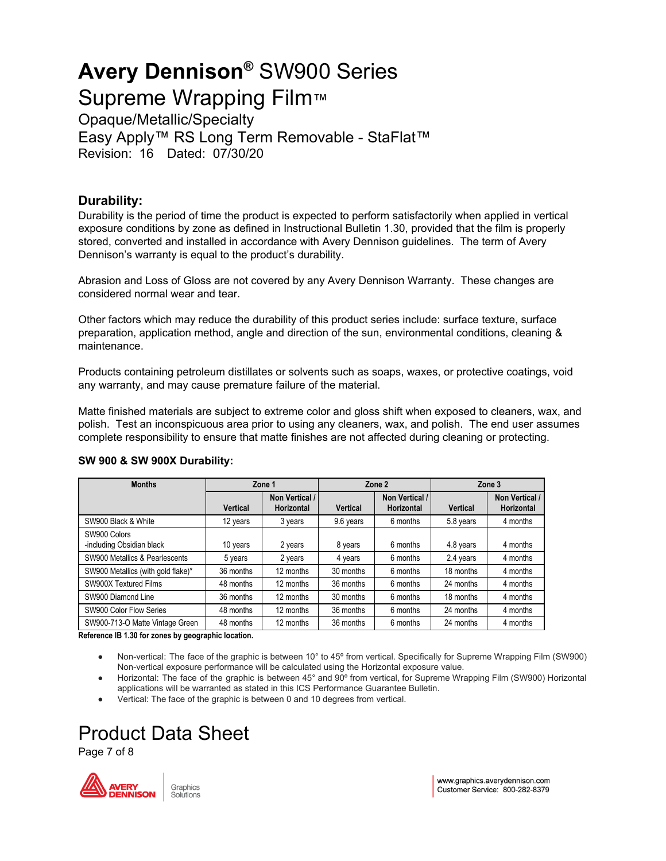Supreme Wrapping Film™ Opaque/Metallic/Specialty Easy Apply™ RS Long Term Removable - StaFlat™

Revision: 16 Dated: 07/30/20

#### **Durability:**

Durability is the period of time the product is expected to perform satisfactorily when applied in vertical exposure conditions by zone as defined in Instructional Bulletin 1.30, provided that the film is properly stored, converted and installed in accordance with Avery Dennison guidelines. The term of Avery Dennison's warranty is equal to the product's durability.

Abrasion and Loss of Gloss are not covered by any Avery Dennison Warranty. These changes are considered normal wear and tear.

Other factors which may reduce the durability of this product series include: surface texture, surface preparation, application method, angle and direction of the sun, environmental conditions, cleaning & maintenance.

Products containing petroleum distillates or solvents such as soaps, waxes, or protective coatings, void any warranty, and may cause premature failure of the material.

Matte finished materials are subject to extreme color and gloss shift when exposed to cleaners, wax, and polish. Test an inconspicuous area prior to using any cleaners, wax, and polish. The end user assumes complete responsibility to ensure that matte finishes are not affected during cleaning or protecting.

| <b>Months</b>                             | Zone 1          |                              | Zone 2          |                              | Zone 3    |                              |
|-------------------------------------------|-----------------|------------------------------|-----------------|------------------------------|-----------|------------------------------|
|                                           | <b>Vertical</b> | Non Vertical /<br>Horizontal | <b>Vertical</b> | Non Vertical /<br>Horizontal | Vertical  | Non Vertical /<br>Horizontal |
| SW900 Black & White                       | 12 years        | 3 years                      | 9.6 years       | 6 months                     | 5.8 years | 4 months                     |
| SW900 Colors<br>-including Obsidian black | 10 years        | 2 years                      | 8 years         | 6 months                     | 4.8 years | 4 months                     |
| SW900 Metallics & Pearlescents            | 5 years         | 2 years                      | 4 years         | 6 months                     | 2.4 years | 4 months                     |
| SW900 Metallics (with gold flake)*        | 36 months       | 12 months                    | 30 months       | 6 months                     | 18 months | 4 months                     |
| SW900X Textured Films                     | 48 months       | 12 months                    | 36 months       | 6 months                     | 24 months | 4 months                     |
| SW900 Diamond Line                        | 36 months       | 12 months                    | 30 months       | 6 months                     | 18 months | 4 months                     |
| SW900 Color Flow Series                   | 48 months       | 12 months                    | 36 months       | 6 months                     | 24 months | 4 months                     |
| SW900-713-O Matte Vintage Green           | 48 months       | 12 months                    | 36 months       | 6 months                     | 24 months | 4 months                     |

#### **SW 900 & SW 900X Durability:**

**Reference IB 1.30 for zones by geographic location.**

- Non-vertical: The face of the graphic is between 10° to 45º from vertical. Specifically for Supreme Wrapping Film (SW900) Non-vertical exposure performance will be calculated using the Horizontal exposure value.
- Horizontal: The face of the graphic is between 45° and 90° from vertical, for Supreme Wrapping Film (SW900) Horizontal applications will be warranted as stated in this ICS Performance Guarantee Bulletin.
- Vertical: The face of the graphic is between 0 and 10 degrees from vertical.

## Product Data Sheet

Page 7 of 8